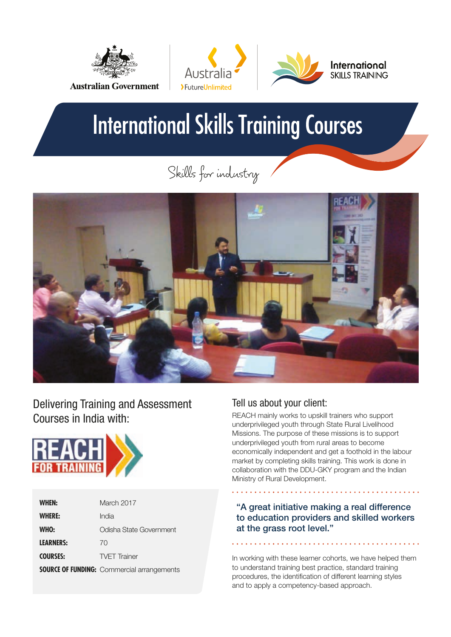



# **International Skills Training Courses**

Skills for industry



Delivering Training and Assessment Courses in India with:



| <b>WHEN:</b>     | March 2017                                        |
|------------------|---------------------------------------------------|
| <b>WHERE:</b>    | India                                             |
| WHO:             | Odisha State Government                           |
| <b>LEARNERS:</b> | 70                                                |
| <b>COURSES:</b>  | <b>TVFT</b> Trainer                               |
|                  | <b>SOURCE OF FUNDING:</b> Commercial arrangements |

## Tell us about your client:

REACH mainly works to upskill trainers who support underprivileged youth through State Rural Livelihood Missions. The purpose of these missions is to support underprivileged youth from rural areas to become economically independent and get a foothold in the labour market by completing skills training. This work is done in collaboration with the DDU-GKY program and the Indian Ministry of Rural Development.

"A great initiative making a real difference to education providers and skilled workers at the grass root level."

In working with these learner cohorts, we have helped them to understand training best practice, standard training procedures, the identification of different learning styles and to apply a competency-based approach.